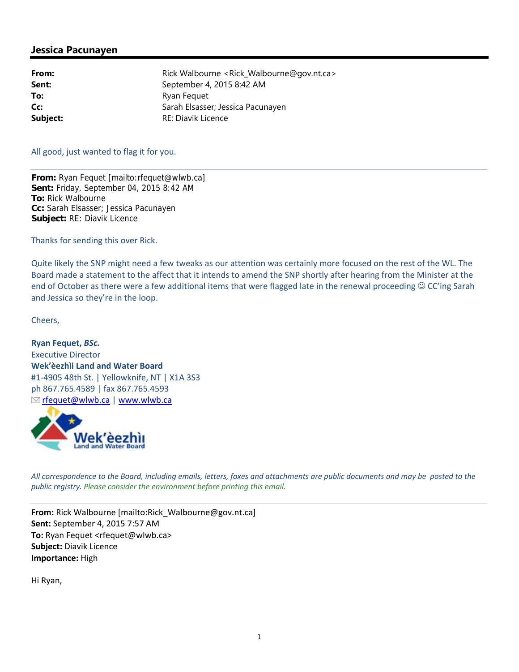## **Jessica Pacunayen**

**From:** Rick Walbourne <Rick Walbourne@gov.nt.ca> **Sent:** September 4, 2015 8:42 AM **To:** Ryan Fequet **Cc:** Sarah Elsasser; Jessica Pacunayen **Subject:** RE: Diavik Licence

## All good, just wanted to flag it for you.

**From:** Ryan Fequet [mailto:rfequet@wlwb.ca] **Sent:** Friday, September 04, 2015 8:42 AM **To:** Rick Walbourne **Cc:** Sarah Elsasser; Jessica Pacunayen **Subject:** RE: Diavik Licence

Thanks for sending this over Rick.

Quite likely the SNP might need a few tweaks as our attention was certainly more focused on the rest of the WL. The Board made a statement to the affect that it intends to amend the SNP shortly after hearing from the Minister at the end of October as there were a few additional items that were flagged late in the renewal proceeding  $\odot$  CC'ing Sarah and Jessica so they're in the loop.

Cheers,

**Ryan Fequet,** *BSc.* Executive Director **Wek'èezhìi Land and Water Board** #1‐4905 48th St. | Yellowknife, NT | X1A 3S3 ph 867.765.4589 | fax 867.765.4593 **M** rfequet@wlwb.ca | www.wlwb.ca



All correspondence to the Board, including emails, letters, faxes and attachments are public documents and may be posted to the *public registry. Please consider the environment before printing this email.*

**From:** Rick Walbourne [mailto:Rick\_Walbourne@gov.nt.ca] **Sent:** September 4, 2015 7:57 AM **To:** Ryan Fequet <rfequet@wlwb.ca> **Subject:** Diavik Licence **Importance:** High

Hi Ryan,